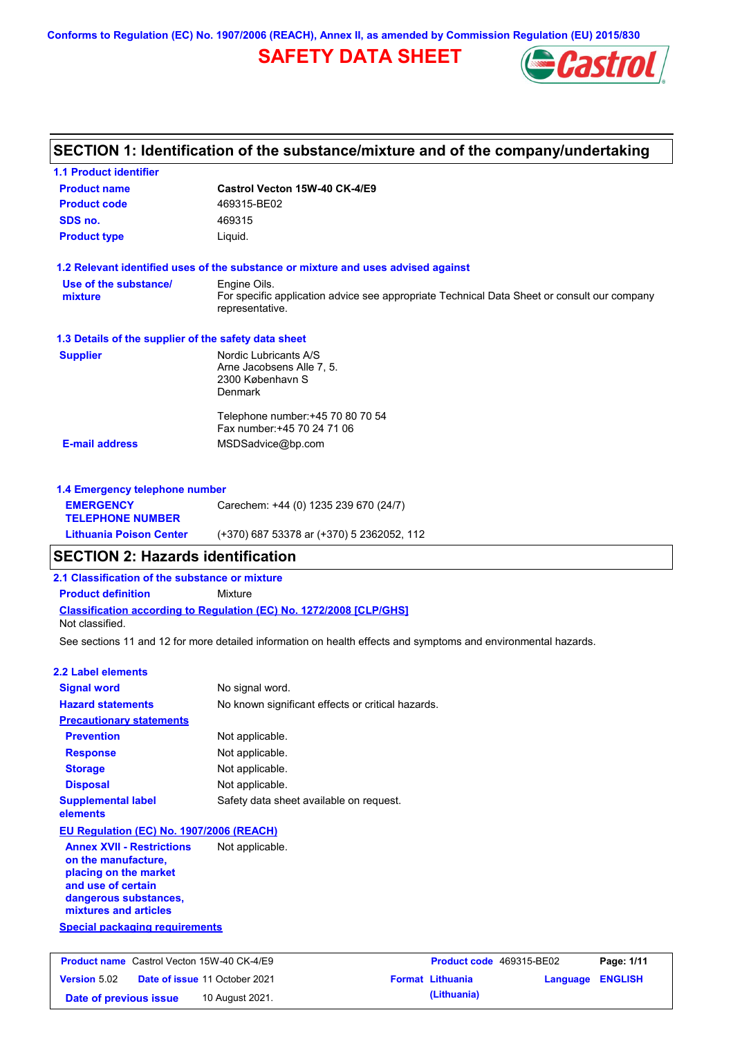**Conforms to Regulation (EC) No. 1907/2006 (REACH), Annex II, as amended by Commission Regulation (EU) 2015/830**

# **SAFETY DATA SHEET**



| <b>1.1 Product identifier</b>                                                                                                                            |                                                                                                                                |                          |          |                |
|----------------------------------------------------------------------------------------------------------------------------------------------------------|--------------------------------------------------------------------------------------------------------------------------------|--------------------------|----------|----------------|
| <b>Product name</b>                                                                                                                                      | Castrol Vecton 15W-40 CK-4/E9                                                                                                  |                          |          |                |
| <b>Product code</b>                                                                                                                                      | 469315-BE02                                                                                                                    |                          |          |                |
| SDS no.                                                                                                                                                  | 469315                                                                                                                         |                          |          |                |
| <b>Product type</b>                                                                                                                                      | Liquid.                                                                                                                        |                          |          |                |
|                                                                                                                                                          | 1.2 Relevant identified uses of the substance or mixture and uses advised against                                              |                          |          |                |
| Use of the substance/<br>mixture                                                                                                                         | Engine Oils.<br>For specific application advice see appropriate Technical Data Sheet or consult our company<br>representative. |                          |          |                |
| 1.3 Details of the supplier of the safety data sheet                                                                                                     |                                                                                                                                |                          |          |                |
| <b>Supplier</b>                                                                                                                                          | Nordic Lubricants A/S<br>Arne Jacobsens Alle 7, 5.<br>2300 København S<br><b>Denmark</b>                                       |                          |          |                |
|                                                                                                                                                          | Telephone number: +45 70 80 70 54<br>Fax number: +45 70 24 71 06                                                               |                          |          |                |
| <b>E-mail address</b>                                                                                                                                    | MSDSadvice@bp.com                                                                                                              |                          |          |                |
| 1.4 Emergency telephone number                                                                                                                           |                                                                                                                                |                          |          |                |
| <b>EMERGENCY</b><br><b>TELEPHONE NUMBER</b>                                                                                                              | Carechem: +44 (0) 1235 239 670 (24/7)                                                                                          |                          |          |                |
| <b>Lithuania Poison Center</b>                                                                                                                           | (+370) 687 53378 ar (+370) 5 2362052, 112                                                                                      |                          |          |                |
| <b>SECTION 2: Hazards identification</b>                                                                                                                 |                                                                                                                                |                          |          |                |
| 2.1 Classification of the substance or mixture                                                                                                           |                                                                                                                                |                          |          |                |
| <b>Product definition</b>                                                                                                                                | Mixture                                                                                                                        |                          |          |                |
| Not classified.                                                                                                                                          | Classification according to Regulation (EC) No. 1272/2008 [CLP/GHS]                                                            |                          |          |                |
|                                                                                                                                                          | See sections 11 and 12 for more detailed information on health effects and symptoms and environmental hazards.                 |                          |          |                |
| <b>2.2 Label elements</b>                                                                                                                                |                                                                                                                                |                          |          |                |
| <b>Signal word</b>                                                                                                                                       | No signal word.                                                                                                                |                          |          |                |
| <b>Hazard statements</b>                                                                                                                                 | No known significant effects or critical hazards.                                                                              |                          |          |                |
| <b>Precautionary statements</b>                                                                                                                          |                                                                                                                                |                          |          |                |
| <b>Prevention</b>                                                                                                                                        | Not applicable.                                                                                                                |                          |          |                |
| <b>Response</b>                                                                                                                                          | Not applicable.                                                                                                                |                          |          |                |
| <b>Storage</b>                                                                                                                                           | Not applicable.                                                                                                                |                          |          |                |
| <b>Disposal</b>                                                                                                                                          | Not applicable.                                                                                                                |                          |          |                |
| <b>Supplemental label</b><br>elements                                                                                                                    | Safety data sheet available on request.                                                                                        |                          |          |                |
| EU Regulation (EC) No. 1907/2006 (REACH)                                                                                                                 |                                                                                                                                |                          |          |                |
| <b>Annex XVII - Restrictions</b><br>on the manufacture,<br>placing on the market<br>and use of certain<br>dangerous substances,<br>mixtures and articles | Not applicable.                                                                                                                |                          |          |                |
| <b>Special packaging requirements</b>                                                                                                                    |                                                                                                                                |                          |          |                |
| <b>Product name</b> Castrol Vecton 15W-40 CK-4/E9                                                                                                        |                                                                                                                                | Product code 469315-BE02 |          | Page: 1/11     |
|                                                                                                                                                          | Date of issue 11 October 2021                                                                                                  | <b>Format Lithuania</b>  | Language | <b>ENGLISH</b> |
| Version 5.02                                                                                                                                             |                                                                                                                                |                          |          |                |

**Date of previous issue 10 August 2021. (Lithuania) (Lithuania)**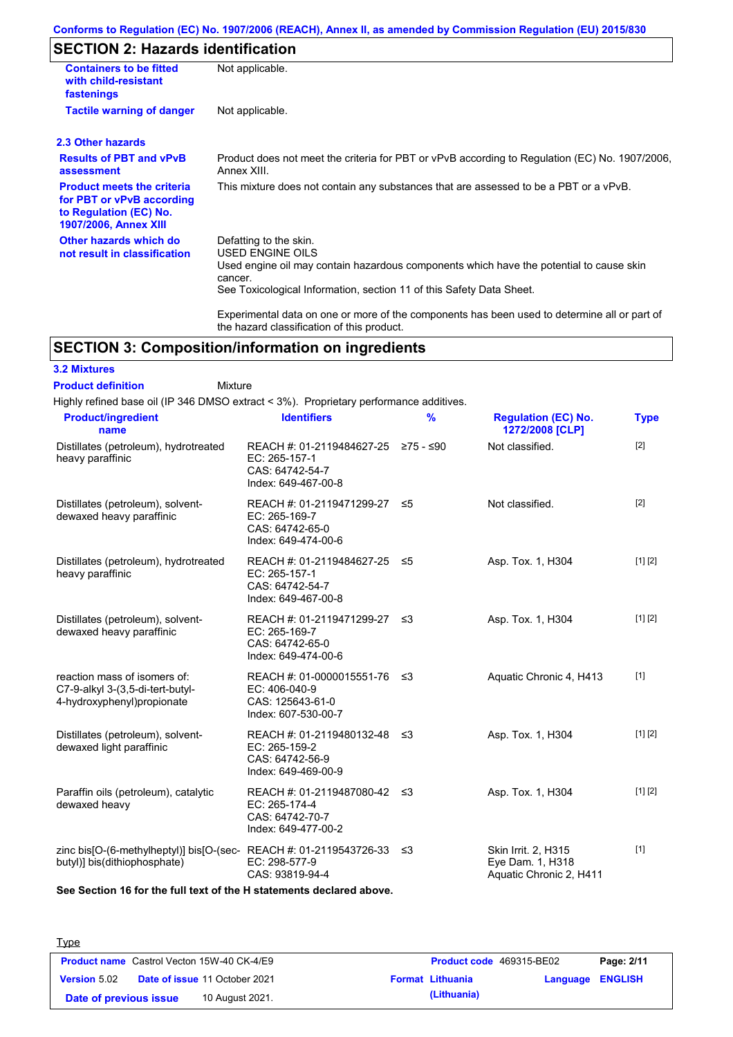### **Conforms to Regulation (EC) No. 1907/2006 (REACH), Annex II, as amended by Commission Regulation (EU) 2015/830**

# **SECTION 2: Hazards identification**

| <b>Containers to be fitted</b><br>with child-resistant<br>fastenings                                                     | Not applicable.                                                                                                                                                                                                          |
|--------------------------------------------------------------------------------------------------------------------------|--------------------------------------------------------------------------------------------------------------------------------------------------------------------------------------------------------------------------|
| <b>Tactile warning of danger</b>                                                                                         | Not applicable.                                                                                                                                                                                                          |
| 2.3 Other hazards                                                                                                        |                                                                                                                                                                                                                          |
| <b>Results of PBT and vPvB</b><br>assessment                                                                             | Product does not meet the criteria for PBT or vPvB according to Regulation (EC) No. 1907/2006,<br>Annex XIII.                                                                                                            |
| <b>Product meets the criteria</b><br>for PBT or vPvB according<br>to Regulation (EC) No.<br><b>1907/2006, Annex XIII</b> | This mixture does not contain any substances that are assessed to be a PBT or a vPvB.                                                                                                                                    |
| Other hazards which do<br>not result in classification                                                                   | Defatting to the skin.<br>USED ENGINE OILS<br>Used engine oil may contain hazardous components which have the potential to cause skin<br>cancer.<br>See Toxicological Information, section 11 of this Safety Data Sheet. |
|                                                                                                                          | Experimental data on one or more of the components has been used to determine all or part of<br>the hazard classification of this product.                                                                               |

## **SECTION 3: Composition/information on ingredients**

Mixture

## **3.2 Mixtures**

**Product definition**

Highly refined base oil (IP 346 DMSO extract < 3%). Proprietary performance additives.

| <b>Product/ingredient</b><br>name                                                                    | <b>Identifiers</b>                                                                             | $\frac{9}{6}$ | <b>Regulation (EC) No.</b><br>1272/2008 [CLP]                      | <b>Type</b> |
|------------------------------------------------------------------------------------------------------|------------------------------------------------------------------------------------------------|---------------|--------------------------------------------------------------------|-------------|
| Distillates (petroleum), hydrotreated<br>heavy paraffinic                                            | REACH #: 01-2119484627-25 ≥75 - ≤90<br>EC: 265-157-1<br>CAS: 64742-54-7<br>Index: 649-467-00-8 |               | Not classified.                                                    | $[2]$       |
| Distillates (petroleum), solvent-<br>dewaxed heavy paraffinic                                        | REACH #: 01-2119471299-27<br>EC: 265-169-7<br>CAS: 64742-65-0<br>Index: 649-474-00-6           | ≤5            | Not classified.                                                    | [2]         |
| Distillates (petroleum), hydrotreated<br>heavy paraffinic                                            | REACH #: 01-2119484627-25 ≤5<br>EC: 265-157-1<br>CAS: 64742-54-7<br>Index: 649-467-00-8        |               | Asp. Tox. 1, H304                                                  | [1] [2]     |
| Distillates (petroleum), solvent-<br>dewaxed heavy paraffinic                                        | REACH #: 01-2119471299-27 ≤3<br>EC: 265-169-7<br>CAS: 64742-65-0<br>Index: 649-474-00-6        |               | Asp. Tox. 1, H304                                                  | [1] [2]     |
| reaction mass of isomers of:<br>C7-9-alkyl 3-(3,5-di-tert-butyl-<br>4-hydroxyphenyl)propionate       | REACH #: 01-0000015551-76 ≤3<br>EC: 406-040-9<br>CAS: 125643-61-0<br>Index: 607-530-00-7       |               | Aquatic Chronic 4, H413                                            | $[1]$       |
| Distillates (petroleum), solvent-<br>dewaxed light paraffinic                                        | REACH #: 01-2119480132-48 ≤3<br>EC: 265-159-2<br>CAS: 64742-56-9<br>Index: 649-469-00-9        |               | Asp. Tox. 1, H304                                                  | [1] [2]     |
| Paraffin oils (petroleum), catalytic<br>dewaxed heavy                                                | REACH #: 01-2119487080-42 ≤3<br>EC: 265-174-4<br>CAS: 64742-70-7<br>Index: 649-477-00-2        |               | Asp. Tox. 1, H304                                                  | [1] [2]     |
| zinc bis[O-(6-methylheptyl)] bis[O-(sec-REACH #: 01-2119543726-33 ≤3<br>butyl)] bis(dithiophosphate) | EC: 298-577-9<br>CAS: 93819-94-4                                                               |               | Skin Irrit. 2. H315<br>Eye Dam. 1, H318<br>Aquatic Chronic 2, H411 | $[1]$       |

**See Section 16 for the full text of the H statements declared above.**

| <b>Type</b>            |                                                   |                                                    |
|------------------------|---------------------------------------------------|----------------------------------------------------|
|                        | <b>Product name</b> Castrol Vecton 15W-40 CK-4/E9 | Product code 469315-BE02<br>Page: 2/11             |
| <b>Version 5.02</b>    | <b>Date of issue 11 October 2021</b>              | <b>Format Lithuania</b><br><b>Language ENGLISH</b> |
| Date of previous issue | 10 August 2021.                                   | (Lithuania)                                        |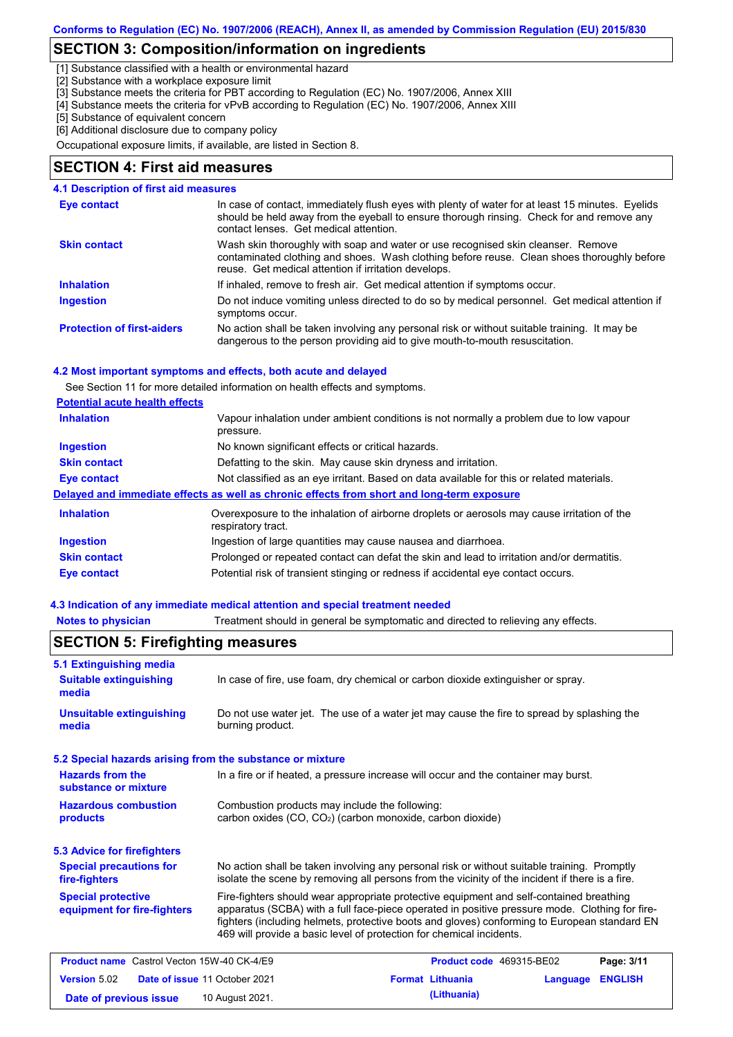## **SECTION 3: Composition/information on ingredients**

[1] Substance classified with a health or environmental hazard

[2] Substance with a workplace exposure limit

[3] Substance meets the criteria for PBT according to Regulation (EC) No. 1907/2006, Annex XIII

[4] Substance meets the criteria for vPvB according to Regulation (EC) No. 1907/2006, Annex XIII

[5] Substance of equivalent concern

[6] Additional disclosure due to company policy

Occupational exposure limits, if available, are listed in Section 8.

### **SECTION 4: First aid measures**

| <b>4.1 Description of first aid measures</b> |                                                                                                                                                                                                                                         |
|----------------------------------------------|-----------------------------------------------------------------------------------------------------------------------------------------------------------------------------------------------------------------------------------------|
| Eye contact                                  | In case of contact, immediately flush eyes with plenty of water for at least 15 minutes. Eyelids<br>should be held away from the eyeball to ensure thorough rinsing. Check for and remove any<br>contact lenses. Get medical attention. |
| <b>Skin contact</b>                          | Wash skin thoroughly with soap and water or use recognised skin cleanser. Remove<br>contaminated clothing and shoes. Wash clothing before reuse. Clean shoes thoroughly before<br>reuse. Get medical attention if irritation develops.  |
| <b>Inhalation</b>                            | If inhaled, remove to fresh air. Get medical attention if symptoms occur.                                                                                                                                                               |
| <b>Ingestion</b>                             | Do not induce vomiting unless directed to do so by medical personnel. Get medical attention if<br>symptoms occur.                                                                                                                       |
| <b>Protection of first-aiders</b>            | No action shall be taken involving any personal risk or without suitable training. It may be<br>dangerous to the person providing aid to give mouth-to-mouth resuscitation.                                                             |

#### **4.2 Most important symptoms and effects, both acute and delayed**

See Section 11 for more detailed information on health effects and symptoms.

### **Potential acute health effects**

| <b>Inhalation</b>   | Vapour inhalation under ambient conditions is not normally a problem due to low vapour<br>pressure.               |  |  |
|---------------------|-------------------------------------------------------------------------------------------------------------------|--|--|
| <b>Ingestion</b>    | No known significant effects or critical hazards.                                                                 |  |  |
| <b>Skin contact</b> | Defatting to the skin. May cause skin dryness and irritation.                                                     |  |  |
| Eye contact         | Not classified as an eye irritant. Based on data available for this or related materials.                         |  |  |
|                     | Delayed and immediate effects as well as chronic effects from short and long-term exposure                        |  |  |
| <b>Inhalation</b>   | Overexposure to the inhalation of airborne droplets or aerosols may cause irritation of the<br>respiratory tract. |  |  |
| <b>Ingestion</b>    | Ingestion of large quantities may cause nausea and diarrhoea.                                                     |  |  |
| <b>Skin contact</b> | Prolonged or repeated contact can defat the skin and lead to irritation and/or dermatitis.                        |  |  |
| <b>Eye contact</b>  | Potential risk of transient stinging or redness if accidental eye contact occurs.                                 |  |  |

#### **4.3 Indication of any immediate medical attention and special treatment needed**

**Notes to physician** Treatment should in general be symptomatic and directed to relieving any effects.

| 5.1 Extinguishing media                                                                                                                                                                                                                           |                                                                                                                                                                                                                                                                                                                                                                   |  |                          |          |                |
|---------------------------------------------------------------------------------------------------------------------------------------------------------------------------------------------------------------------------------------------------|-------------------------------------------------------------------------------------------------------------------------------------------------------------------------------------------------------------------------------------------------------------------------------------------------------------------------------------------------------------------|--|--------------------------|----------|----------------|
| <b>Suitable extinguishing</b><br>media                                                                                                                                                                                                            | In case of fire, use foam, dry chemical or carbon dioxide extinguisher or spray.                                                                                                                                                                                                                                                                                  |  |                          |          |                |
| <b>Unsuitable extinguishing</b><br>media                                                                                                                                                                                                          | Do not use water jet. The use of a water jet may cause the fire to spread by splashing the<br>burning product.                                                                                                                                                                                                                                                    |  |                          |          |                |
| 5.2 Special hazards arising from the substance or mixture                                                                                                                                                                                         |                                                                                                                                                                                                                                                                                                                                                                   |  |                          |          |                |
| <b>Hazards from the</b><br>substance or mixture                                                                                                                                                                                                   | In a fire or if heated, a pressure increase will occur and the container may burst.                                                                                                                                                                                                                                                                               |  |                          |          |                |
| <b>Hazardous combustion</b><br>products                                                                                                                                                                                                           | Combustion products may include the following:<br>carbon oxides (CO, CO <sub>2</sub> ) (carbon monoxide, carbon dioxide)                                                                                                                                                                                                                                          |  |                          |          |                |
| <b>5.3 Advice for firefighters</b>                                                                                                                                                                                                                |                                                                                                                                                                                                                                                                                                                                                                   |  |                          |          |                |
| <b>Special precautions for</b><br>No action shall be taken involving any personal risk or without suitable training. Promptly<br>isolate the scene by removing all persons from the vicinity of the incident if there is a fire.<br>fire-fighters |                                                                                                                                                                                                                                                                                                                                                                   |  |                          |          |                |
| <b>Special protective</b><br>equipment for fire-fighters                                                                                                                                                                                          | Fire-fighters should wear appropriate protective equipment and self-contained breathing<br>apparatus (SCBA) with a full face-piece operated in positive pressure mode. Clothing for fire-<br>fighters (including helmets, protective boots and gloves) conforming to European standard EN<br>469 will provide a basic level of protection for chemical incidents. |  |                          |          |                |
| <b>Product name</b> Castrol Vecton 15W-40 CK-4/E9                                                                                                                                                                                                 |                                                                                                                                                                                                                                                                                                                                                                   |  | Product code 469315-BE02 |          | Page: 3/11     |
| Version 5.02                                                                                                                                                                                                                                      | Date of issue 11 October 2021                                                                                                                                                                                                                                                                                                                                     |  | <b>Format Lithuania</b>  | Language | <b>ENGLISH</b> |
| Date of previous issue                                                                                                                                                                                                                            | 10 August 2021.                                                                                                                                                                                                                                                                                                                                                   |  | (Lithuania)              |          |                |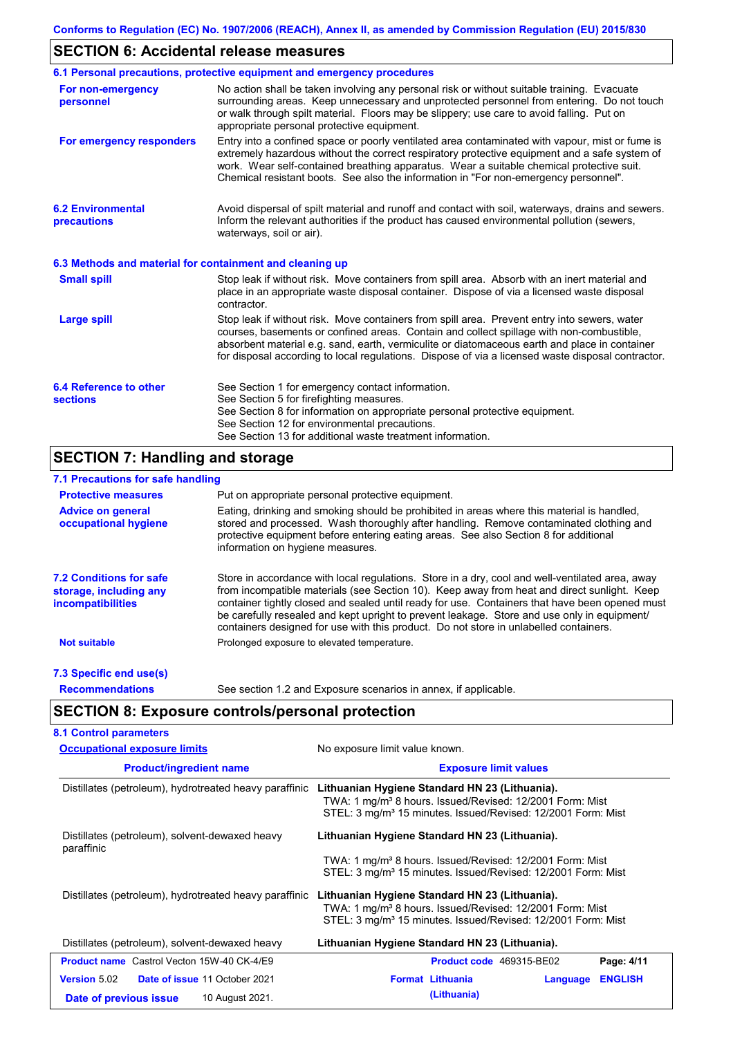## **SECTION 6: Accidental release measures**

|                                                          | 6.1 Personal precautions, protective equipment and emergency procedures                                                                                                                                                                                                                                                                                                                        |  |  |
|----------------------------------------------------------|------------------------------------------------------------------------------------------------------------------------------------------------------------------------------------------------------------------------------------------------------------------------------------------------------------------------------------------------------------------------------------------------|--|--|
| For non-emergency<br>personnel                           | No action shall be taken involving any personal risk or without suitable training. Evacuate<br>surrounding areas. Keep unnecessary and unprotected personnel from entering. Do not touch<br>or walk through spilt material. Floors may be slippery; use care to avoid falling. Put on<br>appropriate personal protective equipment.                                                            |  |  |
| For emergency responders                                 | Entry into a confined space or poorly ventilated area contaminated with vapour, mist or fume is<br>extremely hazardous without the correct respiratory protective equipment and a safe system of<br>work. Wear self-contained breathing apparatus. Wear a suitable chemical protective suit.<br>Chemical resistant boots. See also the information in "For non-emergency personnel".           |  |  |
| <b>6.2 Environmental</b><br>precautions                  | Avoid dispersal of spilt material and runoff and contact with soil, waterways, drains and sewers.<br>Inform the relevant authorities if the product has caused environmental pollution (sewers,<br>waterways, soil or air).                                                                                                                                                                    |  |  |
| 6.3 Methods and material for containment and cleaning up |                                                                                                                                                                                                                                                                                                                                                                                                |  |  |
| <b>Small spill</b>                                       | Stop leak if without risk. Move containers from spill area. Absorb with an inert material and<br>place in an appropriate waste disposal container. Dispose of via a licensed waste disposal<br>contractor.                                                                                                                                                                                     |  |  |
| <b>Large spill</b>                                       | Stop leak if without risk. Move containers from spill area. Prevent entry into sewers, water<br>courses, basements or confined areas. Contain and collect spillage with non-combustible,<br>absorbent material e.g. sand, earth, vermiculite or diatomaceous earth and place in container<br>for disposal according to local regulations. Dispose of via a licensed waste disposal contractor. |  |  |
| 6.4 Reference to other<br><b>sections</b>                | See Section 1 for emergency contact information.<br>See Section 5 for firefighting measures.<br>See Section 8 for information on appropriate personal protective equipment.<br>See Section 12 for environmental precautions.<br>See Section 13 for additional waste treatment information.                                                                                                     |  |  |

## **SECTION 7: Handling and storage**

## **7.1 Precautions for safe handling**

| <b>Protective measures</b>                                                           | Put on appropriate personal protective equipment.                                                                                                                                                                                                                                                                                                                                                                                                                                        |  |  |  |
|--------------------------------------------------------------------------------------|------------------------------------------------------------------------------------------------------------------------------------------------------------------------------------------------------------------------------------------------------------------------------------------------------------------------------------------------------------------------------------------------------------------------------------------------------------------------------------------|--|--|--|
| <b>Advice on general</b><br>occupational hygiene                                     | Eating, drinking and smoking should be prohibited in areas where this material is handled,<br>stored and processed. Wash thoroughly after handling. Remove contaminated clothing and<br>protective equipment before entering eating areas. See also Section 8 for additional<br>information on hygiene measures.                                                                                                                                                                         |  |  |  |
| <b>7.2 Conditions for safe</b><br>storage, including any<br><i>incompatibilities</i> | Store in accordance with local requiations. Store in a dry, cool and well-ventilated area, away<br>from incompatible materials (see Section 10). Keep away from heat and direct sunlight. Keep<br>container tightly closed and sealed until ready for use. Containers that have been opened must<br>be carefully resealed and kept upright to prevent leakage. Store and use only in equipment/<br>containers designed for use with this product. Do not store in unlabelled containers. |  |  |  |
| <b>Not suitable</b>                                                                  | Prolonged exposure to elevated temperature.                                                                                                                                                                                                                                                                                                                                                                                                                                              |  |  |  |
| 7.3 Specific end use(s)                                                              |                                                                                                                                                                                                                                                                                                                                                                                                                                                                                          |  |  |  |
| <b>Recommendations</b>                                                               | See section 1.2 and Exposure scenarios in annex, if applicable.                                                                                                                                                                                                                                                                                                                                                                                                                          |  |  |  |

# **SECTION 8: Exposure controls/personal protection**

| <b>Occupational exposure limits</b>                          | No exposure limit value known.<br><b>Exposure limit values</b>                                                                                                                                     |  |  |
|--------------------------------------------------------------|----------------------------------------------------------------------------------------------------------------------------------------------------------------------------------------------------|--|--|
| <b>Product/ingredient name</b>                               |                                                                                                                                                                                                    |  |  |
| Distillates (petroleum), hydrotreated heavy paraffinic       | Lithuanian Hygiene Standard HN 23 (Lithuania).<br>TWA: 1 mg/m <sup>3</sup> 8 hours. Issued/Revised: 12/2001 Form: Mist<br>STEL: 3 mg/m <sup>3</sup> 15 minutes. Issued/Revised: 12/2001 Form: Mist |  |  |
| Distillates (petroleum), solvent-dewaxed heavy<br>paraffinic | Lithuanian Hygiene Standard HN 23 (Lithuania).                                                                                                                                                     |  |  |
|                                                              | TWA: 1 mg/m <sup>3</sup> 8 hours. Issued/Revised: 12/2001 Form: Mist<br>STEL: 3 mg/m <sup>3</sup> 15 minutes. Issued/Revised: 12/2001 Form: Mist                                                   |  |  |
| Distillates (petroleum), hydrotreated heavy paraffinic       | Lithuanian Hygiene Standard HN 23 (Lithuania).<br>TWA: 1 mg/m <sup>3</sup> 8 hours. Issued/Revised: 12/2001 Form: Mist<br>STEL: 3 mg/m <sup>3</sup> 15 minutes. Issued/Revised: 12/2001 Form: Mist |  |  |
| Distillates (petroleum), solvent-dewaxed heavy               | Lithuanian Hygiene Standard HN 23 (Lithuania).                                                                                                                                                     |  |  |
| <b>Product name</b> Castrol Vecton 15W-40 CK-4/E9            | Product code 469315-BE02<br>Page: 4/11                                                                                                                                                             |  |  |
| <b>Version 5.02</b><br>Date of issue 11 October 2021         | <b>Format Lithuania</b><br><b>ENGLISH</b><br>Language                                                                                                                                              |  |  |
| 10 August 2021.<br>Date of previous issue                    | (Lithuania)                                                                                                                                                                                        |  |  |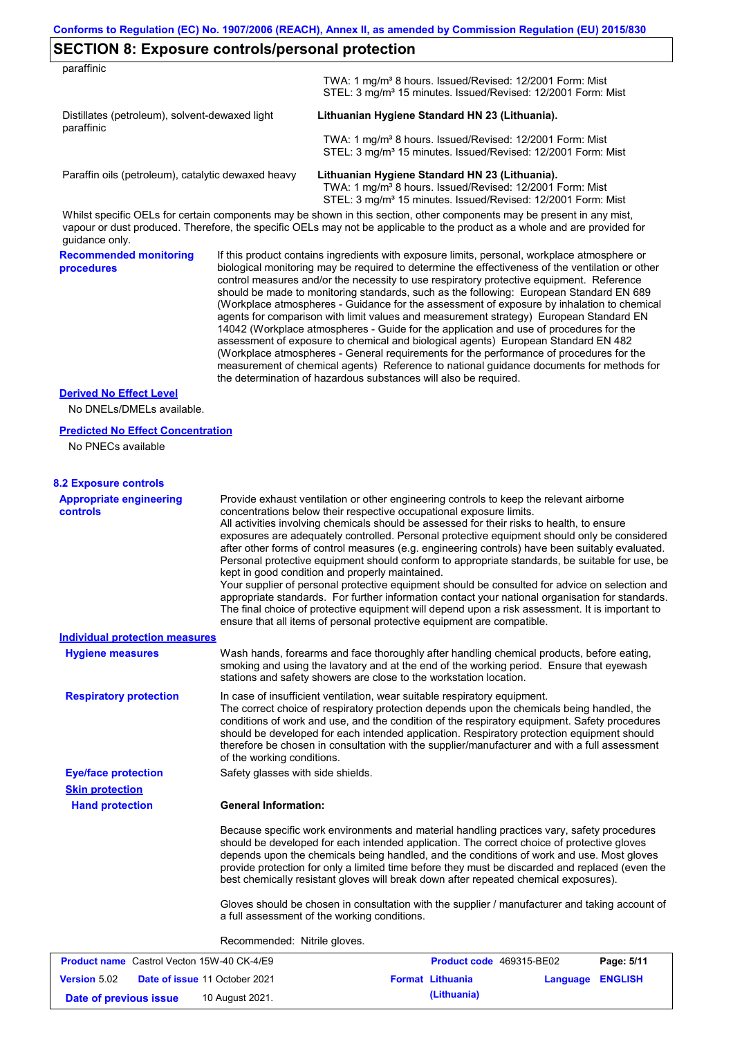|  | <b>SECTION 8: Exposure controls/personal protection</b> |
|--|---------------------------------------------------------|
|--|---------------------------------------------------------|

| paraffinic                                                   |  |                                                                                                                                                                                                                                                      |
|--------------------------------------------------------------|--|------------------------------------------------------------------------------------------------------------------------------------------------------------------------------------------------------------------------------------------------------|
|                                                              |  | TWA: 1 mg/m <sup>3</sup> 8 hours. Issued/Revised: 12/2001 Form: Mist<br>STEL: 3 mg/m <sup>3</sup> 15 minutes. Issued/Revised: 12/2001 Form: Mist                                                                                                     |
| Distillates (petroleum), solvent-dewaxed light<br>paraffinic |  | Lithuanian Hygiene Standard HN 23 (Lithuania).                                                                                                                                                                                                       |
|                                                              |  | TWA: 1 mg/m <sup>3</sup> 8 hours. Issued/Revised: 12/2001 Form: Mist                                                                                                                                                                                 |
|                                                              |  | STEL: 3 mg/m <sup>3</sup> 15 minutes. Issued/Revised: 12/2001 Form: Mist                                                                                                                                                                             |
| Paraffin oils (petroleum), catalytic dewaxed heavy           |  | Lithuanian Hygiene Standard HN 23 (Lithuania).                                                                                                                                                                                                       |
|                                                              |  | TWA: 1 mg/m <sup>3</sup> 8 hours. Issued/Revised: 12/2001 Form: Mist<br>STEL: 3 mg/m <sup>3</sup> 15 minutes. Issued/Revised: 12/2001 Form: Mist                                                                                                     |
| quidance only.                                               |  | Whilst specific OELs for certain components may be shown in this section, other components may be present in any mist,<br>vapour or dust produced. Therefore, the specific OELs may not be applicable to the product as a whole and are provided for |
| <b>Recommended monitoring</b><br><b>procedures</b>           |  | If this product contains ingredients with exposure limits, personal, workplace atmosphere or<br>biological monitoring may be required to determine the effectiveness of the ventilation or other                                                     |

biological monitoring may be required to determine the effectiveness of the ventilation or other control measures and/or the necessity to use respiratory protective equipment. Reference should be made to monitoring standards, such as the following: European Standard EN 689 (Workplace atmospheres - Guidance for the assessment of exposure by inhalation to chemical agents for comparison with limit values and measurement strategy) European Standard EN 14042 (Workplace atmospheres - Guide for the application and use of procedures for the assessment of exposure to chemical and biological agents) European Standard EN 482 (Workplace atmospheres - General requirements for the performance of procedures for the measurement of chemical agents) Reference to national guidance documents for methods for the determination of hazardous substances will also be required.

#### **Derived No Effect Level**

No DNELs/DMELs available.

#### **Predicted No Effect Concentration**

No PNECs available

#### **8.2 Exposure controls**

| <b>Appropriate engineering</b><br>controls        | Provide exhaust ventilation or other engineering controls to keep the relevant airborne<br>concentrations below their respective occupational exposure limits.<br>All activities involving chemicals should be assessed for their risks to health, to ensure<br>exposures are adequately controlled. Personal protective equipment should only be considered<br>after other forms of control measures (e.g. engineering controls) have been suitably evaluated.<br>Personal protective equipment should conform to appropriate standards, be suitable for use, be<br>kept in good condition and properly maintained.<br>Your supplier of personal protective equipment should be consulted for advice on selection and<br>appropriate standards. For further information contact your national organisation for standards.<br>The final choice of protective equipment will depend upon a risk assessment. It is important to<br>ensure that all items of personal protective equipment are compatible. |                          |            |
|---------------------------------------------------|---------------------------------------------------------------------------------------------------------------------------------------------------------------------------------------------------------------------------------------------------------------------------------------------------------------------------------------------------------------------------------------------------------------------------------------------------------------------------------------------------------------------------------------------------------------------------------------------------------------------------------------------------------------------------------------------------------------------------------------------------------------------------------------------------------------------------------------------------------------------------------------------------------------------------------------------------------------------------------------------------------|--------------------------|------------|
| Individual protection measures                    |                                                                                                                                                                                                                                                                                                                                                                                                                                                                                                                                                                                                                                                                                                                                                                                                                                                                                                                                                                                                         |                          |            |
| <b>Hygiene measures</b>                           | Wash hands, forearms and face thoroughly after handling chemical products, before eating,<br>smoking and using the lavatory and at the end of the working period. Ensure that eyewash<br>stations and safety showers are close to the workstation location.                                                                                                                                                                                                                                                                                                                                                                                                                                                                                                                                                                                                                                                                                                                                             |                          |            |
| <b>Respiratory protection</b>                     | In case of insufficient ventilation, wear suitable respiratory equipment.<br>The correct choice of respiratory protection depends upon the chemicals being handled, the<br>conditions of work and use, and the condition of the respiratory equipment. Safety procedures<br>should be developed for each intended application. Respiratory protection equipment should<br>therefore be chosen in consultation with the supplier/manufacturer and with a full assessment<br>of the working conditions.                                                                                                                                                                                                                                                                                                                                                                                                                                                                                                   |                          |            |
| <b>Eye/face protection</b>                        | Safety glasses with side shields.                                                                                                                                                                                                                                                                                                                                                                                                                                                                                                                                                                                                                                                                                                                                                                                                                                                                                                                                                                       |                          |            |
| <b>Skin protection</b>                            |                                                                                                                                                                                                                                                                                                                                                                                                                                                                                                                                                                                                                                                                                                                                                                                                                                                                                                                                                                                                         |                          |            |
| <b>Hand protection</b>                            | <b>General Information:</b>                                                                                                                                                                                                                                                                                                                                                                                                                                                                                                                                                                                                                                                                                                                                                                                                                                                                                                                                                                             |                          |            |
|                                                   | Because specific work environments and material handling practices vary, safety procedures<br>should be developed for each intended application. The correct choice of protective gloves<br>depends upon the chemicals being handled, and the conditions of work and use. Most gloves<br>provide protection for only a limited time before they must be discarded and replaced (even the<br>best chemically resistant gloves will break down after repeated chemical exposures).                                                                                                                                                                                                                                                                                                                                                                                                                                                                                                                        |                          |            |
|                                                   | Gloves should be chosen in consultation with the supplier / manufacturer and taking account of<br>a full assessment of the working conditions.                                                                                                                                                                                                                                                                                                                                                                                                                                                                                                                                                                                                                                                                                                                                                                                                                                                          |                          |            |
|                                                   | Recommended: Nitrile gloves.                                                                                                                                                                                                                                                                                                                                                                                                                                                                                                                                                                                                                                                                                                                                                                                                                                                                                                                                                                            |                          |            |
| <b>Product name</b> Castrol Vecton 15W-40 CK-4/E9 |                                                                                                                                                                                                                                                                                                                                                                                                                                                                                                                                                                                                                                                                                                                                                                                                                                                                                                                                                                                                         | Product code 469315-BE02 | Page: 5/11 |

| <b>FIGURE IT CONTROLL IN THE CONTROLL INTO THE CONTROLL IN THE CONTROLL IN THE CONTROL</b> |                                      |                         | <b>FIGURE COUP 403313-DEVE</b> | raue. <del>J</del> III |
|--------------------------------------------------------------------------------------------|--------------------------------------|-------------------------|--------------------------------|------------------------|
| <b>Version 5.02</b>                                                                        | <b>Date of issue 11 October 2021</b> | <b>Format Lithuania</b> | Language ENGLISH               |                        |
| Date of previous issue                                                                     | 10 August 2021.                      | (Lithuania)             |                                |                        |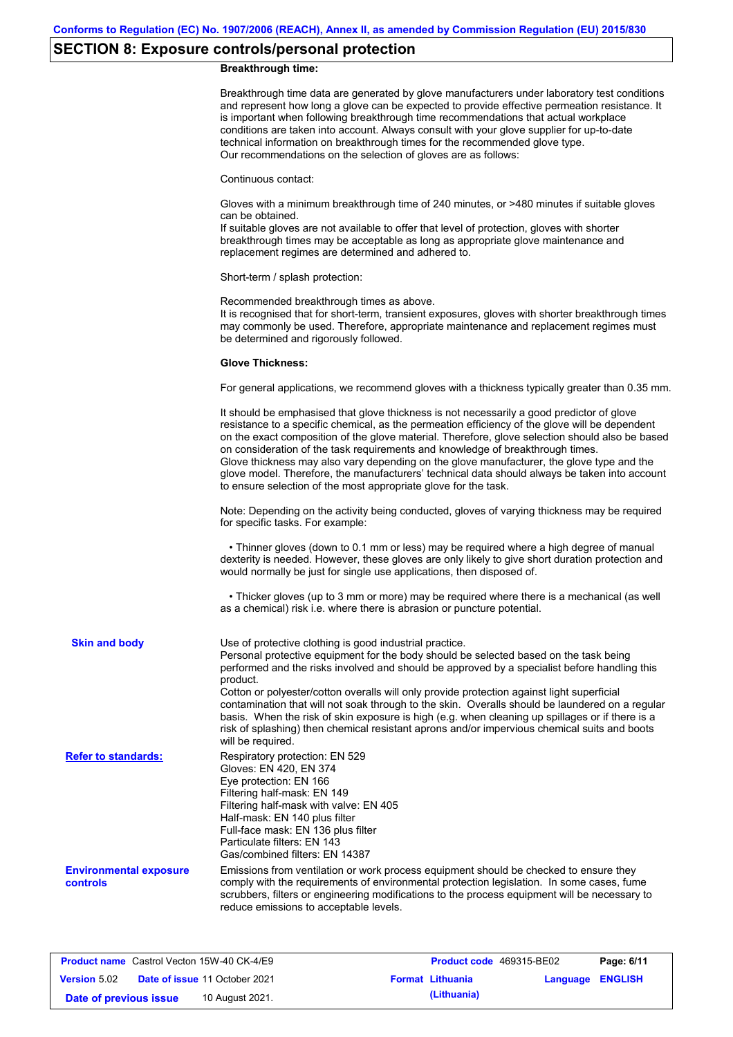# **SECTION 8: Exposure controls/personal protection**

### **Breakthrough time:**

|                                                  | Breakthrough time data are generated by glove manufacturers under laboratory test conditions<br>and represent how long a glove can be expected to provide effective permeation resistance. It<br>is important when following breakthrough time recommendations that actual workplace<br>conditions are taken into account. Always consult with your glove supplier for up-to-date<br>technical information on breakthrough times for the recommended glove type.<br>Our recommendations on the selection of gloves are as follows:                                                                                                                               |
|--------------------------------------------------|------------------------------------------------------------------------------------------------------------------------------------------------------------------------------------------------------------------------------------------------------------------------------------------------------------------------------------------------------------------------------------------------------------------------------------------------------------------------------------------------------------------------------------------------------------------------------------------------------------------------------------------------------------------|
|                                                  | Continuous contact:                                                                                                                                                                                                                                                                                                                                                                                                                                                                                                                                                                                                                                              |
|                                                  | Gloves with a minimum breakthrough time of 240 minutes, or >480 minutes if suitable gloves<br>can be obtained.<br>If suitable gloves are not available to offer that level of protection, gloves with shorter<br>breakthrough times may be acceptable as long as appropriate glove maintenance and<br>replacement regimes are determined and adhered to.                                                                                                                                                                                                                                                                                                         |
|                                                  | Short-term / splash protection:                                                                                                                                                                                                                                                                                                                                                                                                                                                                                                                                                                                                                                  |
|                                                  | Recommended breakthrough times as above.<br>It is recognised that for short-term, transient exposures, gloves with shorter breakthrough times<br>may commonly be used. Therefore, appropriate maintenance and replacement regimes must<br>be determined and rigorously followed.                                                                                                                                                                                                                                                                                                                                                                                 |
|                                                  | <b>Glove Thickness:</b>                                                                                                                                                                                                                                                                                                                                                                                                                                                                                                                                                                                                                                          |
|                                                  | For general applications, we recommend gloves with a thickness typically greater than 0.35 mm.                                                                                                                                                                                                                                                                                                                                                                                                                                                                                                                                                                   |
|                                                  | It should be emphasised that glove thickness is not necessarily a good predictor of glove<br>resistance to a specific chemical, as the permeation efficiency of the glove will be dependent<br>on the exact composition of the glove material. Therefore, glove selection should also be based<br>on consideration of the task requirements and knowledge of breakthrough times.<br>Glove thickness may also vary depending on the glove manufacturer, the glove type and the<br>glove model. Therefore, the manufacturers' technical data should always be taken into account<br>to ensure selection of the most appropriate glove for the task.                |
|                                                  | Note: Depending on the activity being conducted, gloves of varying thickness may be required<br>for specific tasks. For example:                                                                                                                                                                                                                                                                                                                                                                                                                                                                                                                                 |
|                                                  | • Thinner gloves (down to 0.1 mm or less) may be required where a high degree of manual<br>dexterity is needed. However, these gloves are only likely to give short duration protection and<br>would normally be just for single use applications, then disposed of.                                                                                                                                                                                                                                                                                                                                                                                             |
|                                                  | • Thicker gloves (up to 3 mm or more) may be required where there is a mechanical (as well<br>as a chemical) risk i.e. where there is abrasion or puncture potential.                                                                                                                                                                                                                                                                                                                                                                                                                                                                                            |
| <b>Skin and body</b>                             | Use of protective clothing is good industrial practice.<br>Personal protective equipment for the body should be selected based on the task being<br>performed and the risks involved and should be approved by a specialist before handling this<br>product.<br>Cotton or polyester/cotton overalls will only provide protection against light superficial<br>contamination that will not soak through to the skin. Overalls should be laundered on a regular<br>basis. When the risk of skin exposure is high (e.g. when cleaning up spillages or if there is a<br>risk of splashing) then chemical resistant aprons and/or impervious chemical suits and boots |
| <b>Refer to standards:</b>                       | will be required.<br>Respiratory protection: EN 529<br>Gloves: EN 420, EN 374<br>Eye protection: EN 166<br>Filtering half-mask: EN 149<br>Filtering half-mask with valve: EN 405<br>Half-mask: EN 140 plus filter<br>Full-face mask: EN 136 plus filter<br>Particulate filters: EN 143<br>Gas/combined filters: EN 14387                                                                                                                                                                                                                                                                                                                                         |
| <b>Environmental exposure</b><br><b>controls</b> | Emissions from ventilation or work process equipment should be checked to ensure they<br>comply with the requirements of environmental protection legislation. In some cases, fume<br>scrubbers, filters or engineering modifications to the process equipment will be necessary to<br>reduce emissions to acceptable levels.                                                                                                                                                                                                                                                                                                                                    |
|                                                  |                                                                                                                                                                                                                                                                                                                                                                                                                                                                                                                                                                                                                                                                  |

|                        | <b>Product name</b> Castrol Vecton 15W-40 CK-4/E9 | <b>Product code</b> 469315-BE02 |                         | Page: 6/11 |
|------------------------|---------------------------------------------------|---------------------------------|-------------------------|------------|
| <b>Version 5.02</b>    | <b>Date of issue 11 October 2021</b>              | <b>Format Lithuania</b>         | <b>Language ENGLISH</b> |            |
| Date of previous issue | 10 August 2021.                                   | (Lithuania)                     |                         |            |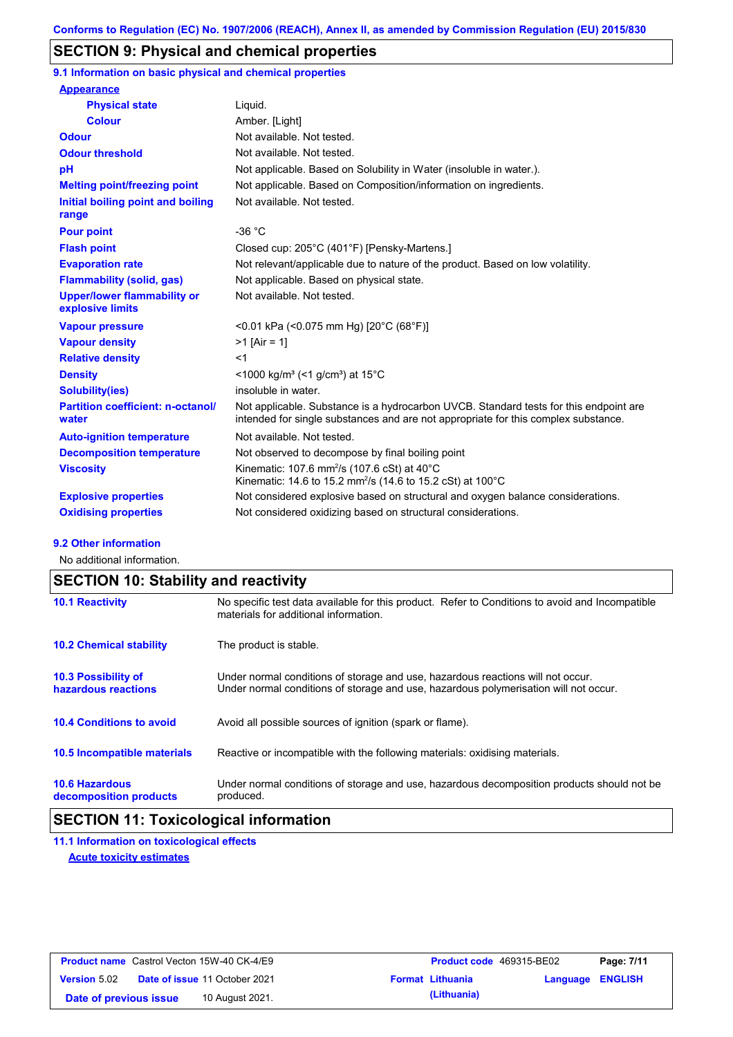## **SECTION 9: Physical and chemical properties**

**9.1 Information on basic physical and chemical properties**

| <b>Appearance</b>                                      |                                                                                                                                                                             |
|--------------------------------------------------------|-----------------------------------------------------------------------------------------------------------------------------------------------------------------------------|
| <b>Physical state</b>                                  | Liquid.                                                                                                                                                                     |
| <b>Colour</b>                                          | Amber. [Light]                                                                                                                                                              |
| <b>Odour</b>                                           | Not available. Not tested.                                                                                                                                                  |
| <b>Odour threshold</b>                                 | Not available. Not tested.                                                                                                                                                  |
| pH                                                     | Not applicable. Based on Solubility in Water (insoluble in water.).                                                                                                         |
| <b>Melting point/freezing point</b>                    | Not applicable. Based on Composition/information on ingredients.                                                                                                            |
| Initial boiling point and boiling<br>range             | Not available. Not tested.                                                                                                                                                  |
| <b>Pour point</b>                                      | $-36 °C$                                                                                                                                                                    |
| <b>Flash point</b>                                     | Closed cup: 205°C (401°F) [Pensky-Martens.]                                                                                                                                 |
| <b>Evaporation rate</b>                                | Not relevant/applicable due to nature of the product. Based on low volatility.                                                                                              |
| <b>Flammability (solid, gas)</b>                       | Not applicable. Based on physical state.                                                                                                                                    |
| <b>Upper/lower flammability or</b><br>explosive limits | Not available. Not tested.                                                                                                                                                  |
| <b>Vapour pressure</b>                                 | <0.01 kPa (<0.075 mm Hg) [20°C (68°F)]                                                                                                                                      |
| <b>Vapour density</b>                                  | $>1$ [Air = 1]                                                                                                                                                              |
| <b>Relative density</b>                                | $<$ 1                                                                                                                                                                       |
| <b>Density</b>                                         | $\leq$ 1000 kg/m <sup>3</sup> (<1 g/cm <sup>3</sup> ) at 15 <sup>°</sup> C                                                                                                  |
| <b>Solubility(ies)</b>                                 | insoluble in water.                                                                                                                                                         |
| <b>Partition coefficient: n-octanol/</b><br>water      | Not applicable. Substance is a hydrocarbon UVCB. Standard tests for this endpoint are<br>intended for single substances and are not appropriate for this complex substance. |
| <b>Auto-ignition temperature</b>                       | Not available. Not tested.                                                                                                                                                  |
| <b>Decomposition temperature</b>                       | Not observed to decompose by final boiling point                                                                                                                            |
| <b>Viscosity</b>                                       | Kinematic: 107.6 mm <sup>2</sup> /s (107.6 cSt) at $40^{\circ}$ C<br>Kinematic: 14.6 to 15.2 mm <sup>2</sup> /s (14.6 to 15.2 cSt) at 100 °C                                |
| <b>Explosive properties</b>                            | Not considered explosive based on structural and oxygen balance considerations.                                                                                             |
| <b>Oxidising properties</b>                            | Not considered oxidizing based on structural considerations.                                                                                                                |

#### **9.2 Other information**

No additional information.

# **SECTION 10: Stability and reactivity**

| <b>10.1 Reactivity</b>                            | No specific test data available for this product. Refer to Conditions to avoid and Incompatible<br>materials for additional information.                                |
|---------------------------------------------------|-------------------------------------------------------------------------------------------------------------------------------------------------------------------------|
| <b>10.2 Chemical stability</b>                    | The product is stable.                                                                                                                                                  |
| <b>10.3 Possibility of</b><br>hazardous reactions | Under normal conditions of storage and use, hazardous reactions will not occur.<br>Under normal conditions of storage and use, hazardous polymerisation will not occur. |
| <b>10.4 Conditions to avoid</b>                   | Avoid all possible sources of ignition (spark or flame).                                                                                                                |
| <b>10.5 Incompatible materials</b>                | Reactive or incompatible with the following materials: oxidising materials.                                                                                             |
| <b>10.6 Hazardous</b><br>decomposition products   | Under normal conditions of storage and use, hazardous decomposition products should not be<br>produced.                                                                 |

## **SECTION 11: Toxicological information**

**11.1 Information on toxicological effects Acute toxicity estimates**

|                        | <b>Product name</b> Castrol Vecton 15W-40 CK-4/E9 | <b>Product code</b> 469315-BE02 |                  | Page: 7/11 |
|------------------------|---------------------------------------------------|---------------------------------|------------------|------------|
| <b>Version 5.02</b>    | <b>Date of issue 11 October 2021</b>              | <b>Format Lithuania</b>         | Language ENGLISH |            |
| Date of previous issue | 10 August 2021.                                   | (Lithuania)                     |                  |            |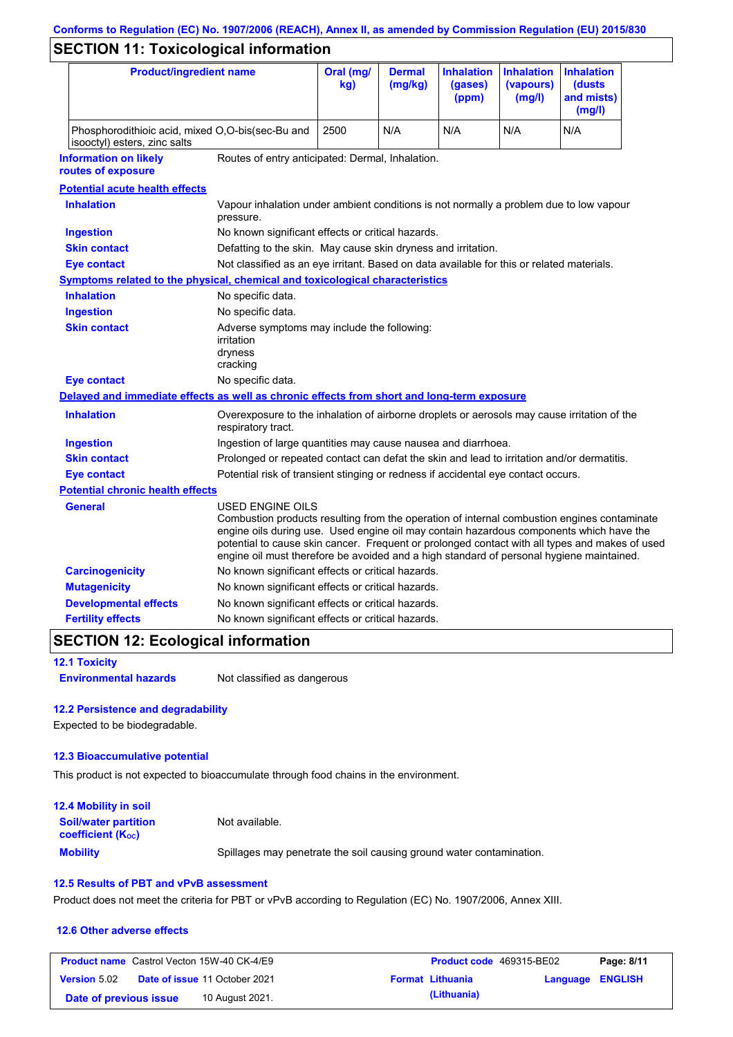# **Conforms to Regulation (EC) No. 1907/2006 (REACH), Annex II, as amended by Commission Regulation (EU) 2015/830**

# **SECTION 11: Toxicological information**

| <b>Product/ingredient name</b>                                                             |                                                                                                                                                                                                         | Oral (mg/<br>kg)                                                                           | <b>Dermal</b><br>(mg/kg) | <b>Inhalation</b><br>(gases)<br>(ppm) | <b>Inhalation</b><br>(vapours)<br>(mg/l) | <b>Inhalation</b><br>(dusts)<br>and mists)<br>(mg/l)                                                                                                                                          |
|--------------------------------------------------------------------------------------------|---------------------------------------------------------------------------------------------------------------------------------------------------------------------------------------------------------|--------------------------------------------------------------------------------------------|--------------------------|---------------------------------------|------------------------------------------|-----------------------------------------------------------------------------------------------------------------------------------------------------------------------------------------------|
| Phosphorodithioic acid, mixed O,O-bis(sec-Bu and<br>isooctyl) esters, zinc salts           |                                                                                                                                                                                                         | 2500                                                                                       | N/A                      | N/A                                   | N/A                                      | N/A                                                                                                                                                                                           |
| <b>Information on likely</b><br>routes of exposure                                         | Routes of entry anticipated: Dermal, Inhalation.                                                                                                                                                        |                                                                                            |                          |                                       |                                          |                                                                                                                                                                                               |
| <b>Potential acute health effects</b>                                                      |                                                                                                                                                                                                         |                                                                                            |                          |                                       |                                          |                                                                                                                                                                                               |
| <b>Inhalation</b>                                                                          | Vapour inhalation under ambient conditions is not normally a problem due to low vapour<br>pressure.                                                                                                     |                                                                                            |                          |                                       |                                          |                                                                                                                                                                                               |
| <b>Ingestion</b>                                                                           | No known significant effects or critical hazards.                                                                                                                                                       |                                                                                            |                          |                                       |                                          |                                                                                                                                                                                               |
| <b>Skin contact</b>                                                                        | Defatting to the skin. May cause skin dryness and irritation.                                                                                                                                           |                                                                                            |                          |                                       |                                          |                                                                                                                                                                                               |
| <b>Eye contact</b>                                                                         | Not classified as an eye irritant. Based on data available for this or related materials.                                                                                                               |                                                                                            |                          |                                       |                                          |                                                                                                                                                                                               |
| Symptoms related to the physical, chemical and toxicological characteristics               |                                                                                                                                                                                                         |                                                                                            |                          |                                       |                                          |                                                                                                                                                                                               |
| <b>Inhalation</b>                                                                          | No specific data.                                                                                                                                                                                       |                                                                                            |                          |                                       |                                          |                                                                                                                                                                                               |
| <b>Ingestion</b>                                                                           | No specific data.                                                                                                                                                                                       |                                                                                            |                          |                                       |                                          |                                                                                                                                                                                               |
| <b>Skin contact</b>                                                                        | Adverse symptoms may include the following:<br>irritation<br>dryness<br>cracking                                                                                                                        |                                                                                            |                          |                                       |                                          |                                                                                                                                                                                               |
| <b>Eye contact</b>                                                                         | No specific data.                                                                                                                                                                                       |                                                                                            |                          |                                       |                                          |                                                                                                                                                                                               |
| Delayed and immediate effects as well as chronic effects from short and long-term exposure |                                                                                                                                                                                                         |                                                                                            |                          |                                       |                                          |                                                                                                                                                                                               |
| <b>Inhalation</b>                                                                          | Overexposure to the inhalation of airborne droplets or aerosols may cause irritation of the<br>respiratory tract.                                                                                       |                                                                                            |                          |                                       |                                          |                                                                                                                                                                                               |
| <b>Ingestion</b>                                                                           |                                                                                                                                                                                                         | Ingestion of large quantities may cause nausea and diarrhoea.                              |                          |                                       |                                          |                                                                                                                                                                                               |
| <b>Skin contact</b>                                                                        |                                                                                                                                                                                                         | Prolonged or repeated contact can defat the skin and lead to irritation and/or dermatitis. |                          |                                       |                                          |                                                                                                                                                                                               |
| <b>Eye contact</b>                                                                         |                                                                                                                                                                                                         | Potential risk of transient stinging or redness if accidental eye contact occurs.          |                          |                                       |                                          |                                                                                                                                                                                               |
| <b>Potential chronic health effects</b>                                                    |                                                                                                                                                                                                         |                                                                                            |                          |                                       |                                          |                                                                                                                                                                                               |
| General                                                                                    | USED ENGINE OILS<br>engine oils during use. Used engine oil may contain hazardous components which have the<br>engine oil must therefore be avoided and a high standard of personal hygiene maintained. |                                                                                            |                          |                                       |                                          | Combustion products resulting from the operation of internal combustion engines contaminate<br>potential to cause skin cancer. Frequent or prolonged contact with all types and makes of used |
| <b>Carcinogenicity</b>                                                                     | No known significant effects or critical hazards.                                                                                                                                                       |                                                                                            |                          |                                       |                                          |                                                                                                                                                                                               |
| <b>Mutagenicity</b>                                                                        | No known significant effects or critical hazards.                                                                                                                                                       |                                                                                            |                          |                                       |                                          |                                                                                                                                                                                               |
| <b>Developmental effects</b>                                                               | No known significant effects or critical hazards.                                                                                                                                                       |                                                                                            |                          |                                       |                                          |                                                                                                                                                                                               |
| <b>Fertility effects</b>                                                                   | No known significant effects or critical hazards.                                                                                                                                                       |                                                                                            |                          |                                       |                                          |                                                                                                                                                                                               |

## **SECTION 12: Ecological information**

**12.1 Toxicity**

**Environmental hazards** Not classified as dangerous

### **12.2 Persistence and degradability**

Expected to be biodegradable.

### **12.3 Bioaccumulative potential**

This product is not expected to bioaccumulate through food chains in the environment.

| <b>12.4 Mobility in soil</b>                                         |                                                                      |
|----------------------------------------------------------------------|----------------------------------------------------------------------|
| <b>Soil/water partition</b><br><b>coefficient</b> (K <sub>oc</sub> ) | Not available.                                                       |
| <b>Mobility</b>                                                      | Spillages may penetrate the soil causing ground water contamination. |

### **12.5 Results of PBT and vPvB assessment**

Product does not meet the criteria for PBT or vPvB according to Regulation (EC) No. 1907/2006, Annex XIII.

#### **12.6 Other adverse effects**

|                        | <b>Product name</b> Castrol Vecton 15W-40 CK-4/E9 | <b>Product code</b> 469315-BE02 |                  | Page: 8/11 |
|------------------------|---------------------------------------------------|---------------------------------|------------------|------------|
| <b>Version 5.02</b>    | <b>Date of issue 11 October 2021</b>              | <b>Format Lithuania</b>         | Language ENGLISH |            |
| Date of previous issue | 10 August 2021.                                   | (Lithuania)                     |                  |            |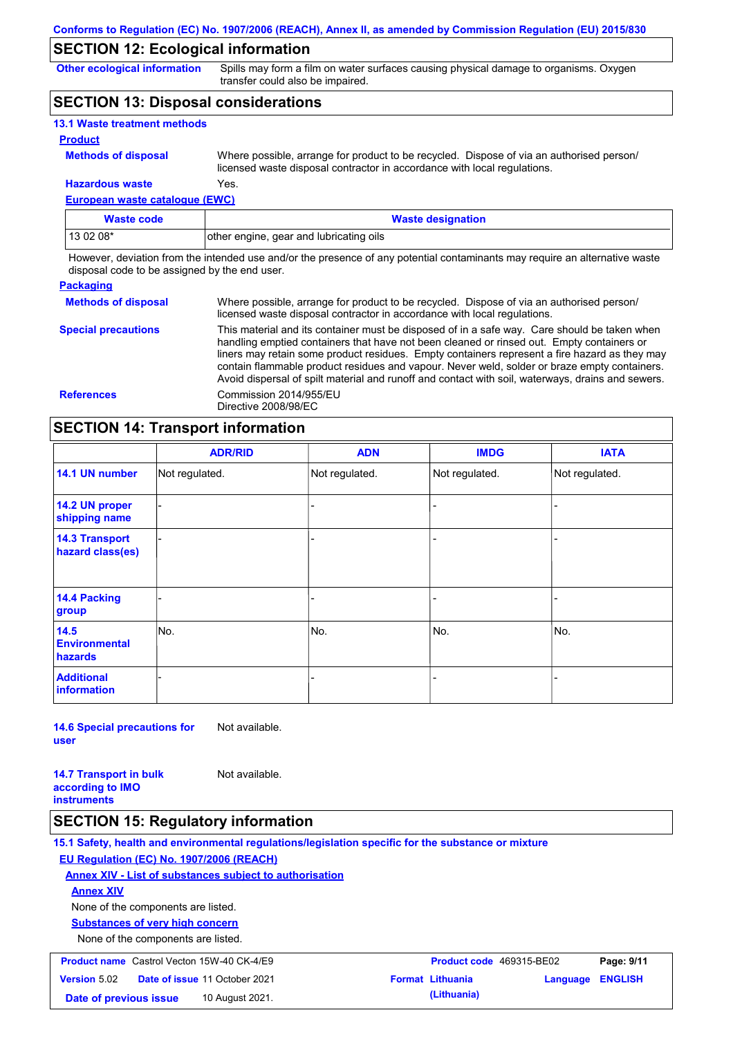## **SECTION 12: Ecological information**

**Other ecological information**

Spills may form a film on water surfaces causing physical damage to organisms. Oxygen transfer could also be impaired.

## **SECTION 13: Disposal considerations**

| <b>13.1 Waste treatment methods</b> |                                                                                                                                                                      |
|-------------------------------------|----------------------------------------------------------------------------------------------------------------------------------------------------------------------|
| <b>Product</b>                      |                                                                                                                                                                      |
| <b>Methods of disposal</b>          | Where possible, arrange for product to be recycled. Dispose of via an authorised person/<br>licensed waste disposal contractor in accordance with local regulations. |
| <b>Hazardous waste</b>              | Yes.                                                                                                                                                                 |

**European waste catalogue (EWC)**

| Waste code | <b>Waste designation</b>                |
|------------|-----------------------------------------|
| $130208*$  | other engine, gear and lubricating oils |

However, deviation from the intended use and/or the presence of any potential contaminants may require an alternative waste disposal code to be assigned by the end user.

| <b>Packaging</b>           |                                                                                                                                                                                                                                                                                                                                                                                                                                                                                                 |
|----------------------------|-------------------------------------------------------------------------------------------------------------------------------------------------------------------------------------------------------------------------------------------------------------------------------------------------------------------------------------------------------------------------------------------------------------------------------------------------------------------------------------------------|
| <b>Methods of disposal</b> | Where possible, arrange for product to be recycled. Dispose of via an authorised person/<br>licensed waste disposal contractor in accordance with local regulations.                                                                                                                                                                                                                                                                                                                            |
| <b>Special precautions</b> | This material and its container must be disposed of in a safe way. Care should be taken when<br>handling emptied containers that have not been cleaned or rinsed out. Empty containers or<br>liners may retain some product residues. Empty containers represent a fire hazard as they may<br>contain flammable product residues and vapour. Never weld, solder or braze empty containers.<br>Avoid dispersal of spilt material and runoff and contact with soil, waterways, drains and sewers. |
| <b>References</b>          | Commission 2014/955/EU<br>Directive 2008/98/EC                                                                                                                                                                                                                                                                                                                                                                                                                                                  |

## **SECTION 14: Transport information**

|                                           | <b>ADR/RID</b> | <b>ADN</b>     | <b>IMDG</b>    | <b>IATA</b>    |
|-------------------------------------------|----------------|----------------|----------------|----------------|
| 14.1 UN number                            | Not regulated. | Not regulated. | Not regulated. | Not regulated. |
| 14.2 UN proper<br>shipping name           |                |                | ۰              |                |
| <b>14.3 Transport</b><br>hazard class(es) |                |                |                |                |
| <b>14.4 Packing</b><br>group              |                |                |                |                |
| 14.5<br><b>Environmental</b><br>hazards   | No.            | No.            | No.            | No.            |
| <b>Additional</b><br><b>information</b>   |                |                |                |                |

**14.6 Special precautions for user** Not available.

**14.7 Transport in bulk according to IMO instruments** Not available.

### **SECTION 15: Regulatory information**

**15.1 Safety, health and environmental regulations/legislation specific for the substance or mixture EU Regulation (EC) No. 1907/2006 (REACH) Annex XIV - List of substances subject to authorisation Substances of very high concern** None of the components are listed. None of the components are listed. **Annex XIV Product name** Castrol Vecton 15W-40 CK-4/E9 **Product Code 469315-BE02 Page: 9/11 Version** 5.02 **Date of issue** 11 October 2021 **Format Lithuania Language ENGLISH**

**Date of previous issue 10 August 2021. (Lithuania) (Lithuania)**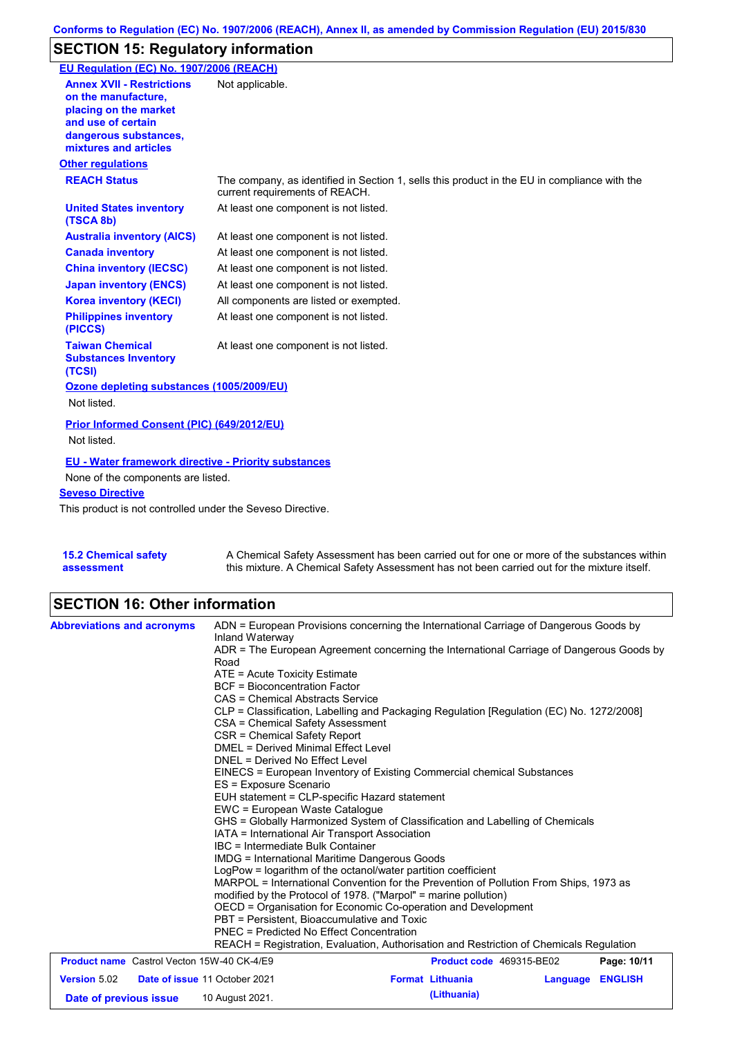# **SECTION 15: Regulatory information**

| EU Regulation (EC) No. 1907/2006 (REACH)                                                                                                                 |                                                                                                                                |
|----------------------------------------------------------------------------------------------------------------------------------------------------------|--------------------------------------------------------------------------------------------------------------------------------|
| <b>Annex XVII - Restrictions</b><br>on the manufacture.<br>placing on the market<br>and use of certain<br>dangerous substances,<br>mixtures and articles | Not applicable.                                                                                                                |
| <b>Other regulations</b>                                                                                                                                 |                                                                                                                                |
| <b>REACH Status</b>                                                                                                                                      | The company, as identified in Section 1, sells this product in the EU in compliance with the<br>current requirements of REACH. |
| <b>United States inventory</b><br>(TSCA 8b)                                                                                                              | At least one component is not listed.                                                                                          |
| <b>Australia inventory (AICS)</b>                                                                                                                        | At least one component is not listed.                                                                                          |
| <b>Canada inventory</b>                                                                                                                                  | At least one component is not listed.                                                                                          |
| <b>China inventory (IECSC)</b>                                                                                                                           | At least one component is not listed.                                                                                          |
| <b>Japan inventory (ENCS)</b>                                                                                                                            | At least one component is not listed.                                                                                          |
| <b>Korea inventory (KECI)</b>                                                                                                                            | All components are listed or exempted.                                                                                         |
| <b>Philippines inventory</b><br>(PICCS)                                                                                                                  | At least one component is not listed.                                                                                          |
| <b>Taiwan Chemical</b><br><b>Substances Inventory</b><br>(TCSI)                                                                                          | At least one component is not listed.                                                                                          |
| Ozone depleting substances (1005/2009/EU)                                                                                                                |                                                                                                                                |
| Not listed.                                                                                                                                              |                                                                                                                                |
| Prior Informed Consent (PIC) (649/2012/EU)<br>Not listed.                                                                                                |                                                                                                                                |
| <b>EU - Water framework directive - Priority substances</b>                                                                                              |                                                                                                                                |
| None of the components are listed.                                                                                                                       |                                                                                                                                |
| <b>Seveso Directive</b>                                                                                                                                  |                                                                                                                                |
| This product is not controlled under the Seveso Directive.                                                                                               |                                                                                                                                |

| <b>15.2 Chemical safety</b> | A Chemical Safety Assessment has been carried out for one or more of the substances within  |
|-----------------------------|---------------------------------------------------------------------------------------------|
| assessment                  | this mixture. A Chemical Safety Assessment has not been carried out for the mixture itself. |

# **SECTION 16: Other information**

| <b>Abbreviations and acronyms</b>                                                                                                                                                                                                                                                                                                                                                                                                                                                                                                                                                                                                                                                                                                                   | ADN = European Provisions concerning the International Carriage of Dangerous Goods by<br>Inland Waterway<br>ADR = The European Agreement concerning the International Carriage of Dangerous Goods by<br>Road<br>$ATE = Acute Toxicity Estimate$<br><b>BCF</b> = Bioconcentration Factor<br>CAS = Chemical Abstracts Service<br>CLP = Classification, Labelling and Packaging Regulation [Regulation (EC) No. 1272/2008]<br>CSA = Chemical Safety Assessment<br>CSR = Chemical Safety Report<br>DMEL = Derived Minimal Effect Level |  |                                        |          |                |
|-----------------------------------------------------------------------------------------------------------------------------------------------------------------------------------------------------------------------------------------------------------------------------------------------------------------------------------------------------------------------------------------------------------------------------------------------------------------------------------------------------------------------------------------------------------------------------------------------------------------------------------------------------------------------------------------------------------------------------------------------------|------------------------------------------------------------------------------------------------------------------------------------------------------------------------------------------------------------------------------------------------------------------------------------------------------------------------------------------------------------------------------------------------------------------------------------------------------------------------------------------------------------------------------------|--|----------------------------------------|----------|----------------|
| DNEL = Derived No Effect Level<br>EINECS = European Inventory of Existing Commercial chemical Substances<br>ES = Exposure Scenario<br>EUH statement = CLP-specific Hazard statement<br>EWC = European Waste Catalogue<br>GHS = Globally Harmonized System of Classification and Labelling of Chemicals<br>IATA = International Air Transport Association<br>IBC = Intermediate Bulk Container<br><b>IMDG</b> = International Maritime Dangerous Goods<br>LogPow = logarithm of the octanol/water partition coefficient<br>MARPOL = International Convention for the Prevention of Pollution From Ships, 1973 as<br>modified by the Protocol of 1978. ("Marpol" = marine pollution)<br>OECD = Organisation for Economic Co-operation and Development |                                                                                                                                                                                                                                                                                                                                                                                                                                                                                                                                    |  |                                        |          |                |
|                                                                                                                                                                                                                                                                                                                                                                                                                                                                                                                                                                                                                                                                                                                                                     | PBT = Persistent, Bioaccumulative and Toxic<br>PNEC = Predicted No Effect Concentration<br>REACH = Registration, Evaluation, Authorisation and Restriction of Chemicals Regulation                                                                                                                                                                                                                                                                                                                                                 |  |                                        |          |                |
| <b>Product name</b> Castrol Vecton 15W-40 CK-4/E9                                                                                                                                                                                                                                                                                                                                                                                                                                                                                                                                                                                                                                                                                                   |                                                                                                                                                                                                                                                                                                                                                                                                                                                                                                                                    |  | Product code 469315-BE02               |          | Page: 10/11    |
| Version 5.02<br>Date of issue 11 October 2021<br>Date of previous issue                                                                                                                                                                                                                                                                                                                                                                                                                                                                                                                                                                                                                                                                             | 10 August 2021.                                                                                                                                                                                                                                                                                                                                                                                                                                                                                                                    |  | <b>Format Lithuania</b><br>(Lithuania) | Language | <b>ENGLISH</b> |